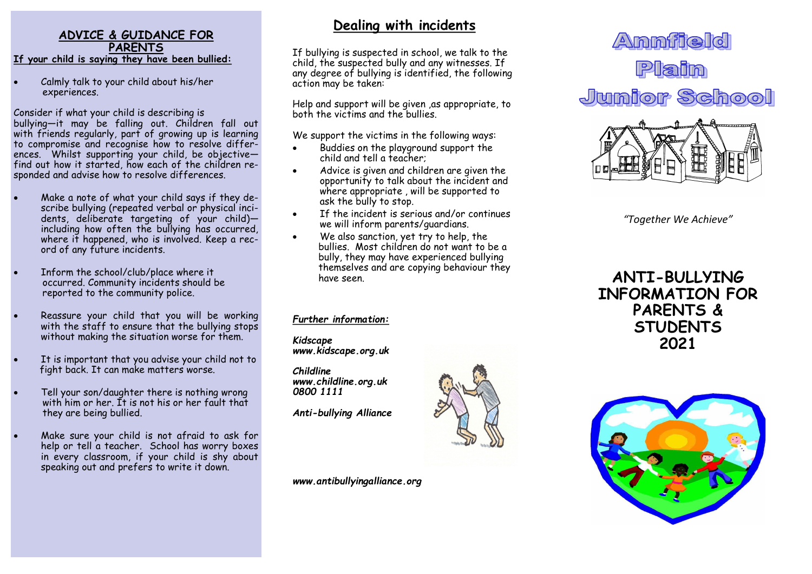### **ADVICE & GUIDANCE FOR PARENTS If your child is saying they have been bullied:**

Calmly talk to your child about his/her experiences.

Consider if what your child is describing is bullying—it may be falling out. Children fall out with friends regularly, part of growing up is learning to compromise and recognise how to resolve differences. Whilst supporting your child, be objective find out how it started, how each of the children responded and advise how to resolve differences.

- Make a note of what your child says if they describe bullying (repeated verbal or physical incidents, deliberate targeting of your child)including how often the bullying has occurred, where it happened, who is involved. Keep a record of any future incidents.
- Inform the school/club/place where it occurred. Community incidents should be reported to the community police.
- Reassure your child that you will be working with the staff to ensure that the bullying stops without making the situation worse for them.
- It is important that you advise your child not to fight back. It can make matters worse.
- Tell your son/daughter there is nothing wrong with him or her. It is not his or her fault that they are being bullied.
- Make sure your child is not afraid to ask for help or tell a teacher. School has worry boxes in every classroom, if your child is shy about speaking out and prefers to write it down.

# **Dealing with incidents**

If bullying is suspected in school, we talk to the child, the suspected bully and any witnesses. If any degree of bullying is identified, the following action may be taken:

Help and support will be given ,as appropriate, to both the victims and the bullies.

We support the victims in the following ways:

- Buddies on the playground support the child and tell a teacher;
- Advice is given and children are given the opportunity to talk about the incident and where appropriate , will be supported to ask the bully to stop.
- If the incident is serious and/or continues we will inform parents/guardians.
- We also sanction, yet try to help, the bullies. Most children do not want to be a bully, they may have experienced bullying themselves and are copying behaviour they have seen.

### *Further information:*

*Kidscape www.kidscape.org.uk*

*Childline www.childline.org.uk 0800 1111*

*Anti-bullying Alliance*

*www.antibullyingalliance.org*





*"Together We Achieve"*

**ANTI-BULLYING INFORMATION FOR PARENTS & STUDENTS 2021**